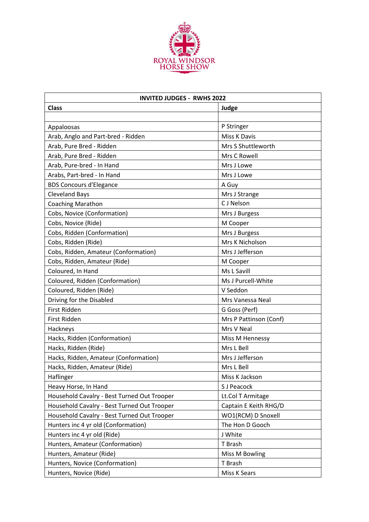

| <b>INVITED JUDGES - RWHS 2022</b>           |                        |  |
|---------------------------------------------|------------------------|--|
| <b>Class</b>                                | Judge                  |  |
|                                             |                        |  |
| Appaloosas                                  | P Stringer             |  |
| Arab, Anglo and Part-bred - Ridden          | Miss K Davis           |  |
| Arab, Pure Bred - Ridden                    | Mrs S Shuttleworth     |  |
| Arab, Pure Bred - Ridden                    | Mrs C Rowell           |  |
| Arab, Pure-bred - In Hand                   | Mrs J Lowe             |  |
| Arabs, Part-bred - In Hand                  | Mrs J Lowe             |  |
| <b>BDS Concours d'Elegance</b>              | A Guy                  |  |
| <b>Cleveland Bays</b>                       | Mrs J Strange          |  |
| <b>Coaching Marathon</b>                    | C J Nelson             |  |
| Cobs, Novice (Conformation)                 | Mrs J Burgess          |  |
| Cobs, Novice (Ride)                         | M Cooper               |  |
| Cobs, Ridden (Conformation)                 | Mrs J Burgess          |  |
| Cobs, Ridden (Ride)                         | Mrs K Nicholson        |  |
| Cobs, Ridden, Amateur (Conformation)        | Mrs J Jefferson        |  |
| Cobs, Ridden, Amateur (Ride)                | M Cooper               |  |
| Coloured, In Hand                           | Ms L Savill            |  |
| Coloured, Ridden (Conformation)             | Ms J Purcell-White     |  |
| Coloured, Ridden (Ride)                     | V Seddon               |  |
| Driving for the Disabled                    | Mrs Vanessa Neal       |  |
| First Ridden                                | G Goss (Perf)          |  |
| First Ridden                                | Mrs P Pattinson (Conf) |  |
| Hackneys                                    | Mrs V Neal             |  |
| Hacks, Ridden (Conformation)                | Miss M Hennessy        |  |
| Hacks, Ridden (Ride)                        | Mrs L Bell             |  |
| Hacks, Ridden, Amateur (Conformation)       | Mrs J Jefferson        |  |
| Hacks, Ridden, Amateur (Ride)               | Mrs L Bell             |  |
| Haflinger                                   | Miss K Jackson         |  |
| Heavy Horse, In Hand                        | S J Peacock            |  |
| Household Cavalry - Best Turned Out Trooper | Lt.Col T Armitage      |  |
| Household Cavalry - Best Turned Out Trooper | Captain E Keith RHG/D  |  |
| Household Cavalry - Best Turned Out Trooper | WO1(RCM) D Snoxell     |  |
| Hunters inc 4 yr old (Conformation)         | The Hon D Gooch        |  |
| Hunters inc 4 yr old (Ride)                 | J White                |  |
| Hunters, Amateur (Conformation)             | T Brash                |  |
| Hunters, Amateur (Ride)                     | <b>Miss M Bowling</b>  |  |
| Hunters, Novice (Conformation)              | T Brash                |  |
| Hunters, Novice (Ride)                      | Miss K Sears           |  |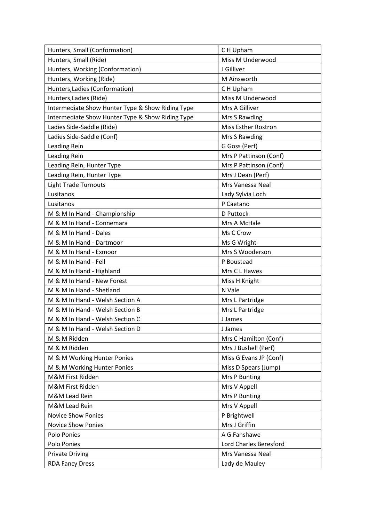| Hunters, Small (Conformation)                    | C H Upham                  |
|--------------------------------------------------|----------------------------|
| Hunters, Small (Ride)                            | Miss M Underwood           |
| Hunters, Working (Conformation)                  | J Gilliver                 |
| Hunters, Working (Ride)                          | M Ainsworth                |
| Hunters, Ladies (Conformation)                   | C H Upham                  |
| Hunters, Ladies (Ride)                           | Miss M Underwood           |
| Intermediate Show Hunter Type & Show Riding Type | Mrs A Gilliver             |
| Intermediate Show Hunter Type & Show Riding Type | Mrs S Rawding              |
| Ladies Side-Saddle (Ride)                        | <b>Miss Esther Rostron</b> |
| Ladies Side-Saddle (Conf)                        | Mrs S Rawding              |
| Leading Rein                                     | G Goss (Perf)              |
| Leading Rein                                     | Mrs P Pattinson (Conf)     |
| Leading Rein, Hunter Type                        | Mrs P Pattinson (Conf)     |
| Leading Rein, Hunter Type                        | Mrs J Dean (Perf)          |
| <b>Light Trade Turnouts</b>                      | Mrs Vanessa Neal           |
| Lusitanos                                        | Lady Sylvia Loch           |
| Lusitanos                                        | P Caetano                  |
| M & M In Hand - Championship                     | D Puttock                  |
| M & M In Hand - Connemara                        | Mrs A McHale               |
| M & M In Hand - Dales                            | Ms C Crow                  |
| M & M In Hand - Dartmoor                         | Ms G Wright                |
| M & M In Hand - Exmoor                           | Mrs S Wooderson            |
| M & M In Hand - Fell                             | P Boustead                 |
| M & M In Hand - Highland                         | Mrs C L Hawes              |
| M & M In Hand - New Forest                       | Miss H Knight              |
| M & M In Hand - Shetland                         | N Vale                     |
| M & M In Hand - Welsh Section A                  | Mrs L Partridge            |
| M & M In Hand - Welsh Section B                  | Mrs L Partridge            |
| M & M In Hand - Welsh Section C                  | J James                    |
| M & M In Hand - Welsh Section D                  | J James                    |
| M & M Ridden                                     | Mrs C Hamilton (Conf)      |
| M & M Ridden                                     | Mrs J Bushell (Perf)       |
| M & M Working Hunter Ponies                      | Miss G Evans JP (Conf)     |
| M & M Working Hunter Ponies                      | Miss D Spears (Jump)       |
| M&M First Ridden                                 | Mrs P Bunting              |
| M&M First Ridden                                 | Mrs V Appell               |
| M&M Lead Rein                                    | Mrs P Bunting              |
| M&M Lead Rein                                    | Mrs V Appell               |
| <b>Novice Show Ponies</b>                        | P Brightwell               |
| <b>Novice Show Ponies</b>                        | Mrs J Griffin              |
| Polo Ponies                                      | A G Fanshawe               |
| Polo Ponies                                      | Lord Charles Beresford     |
| <b>Private Driving</b>                           | Mrs Vanessa Neal           |
| <b>RDA Fancy Dress</b>                           | Lady de Mauley             |